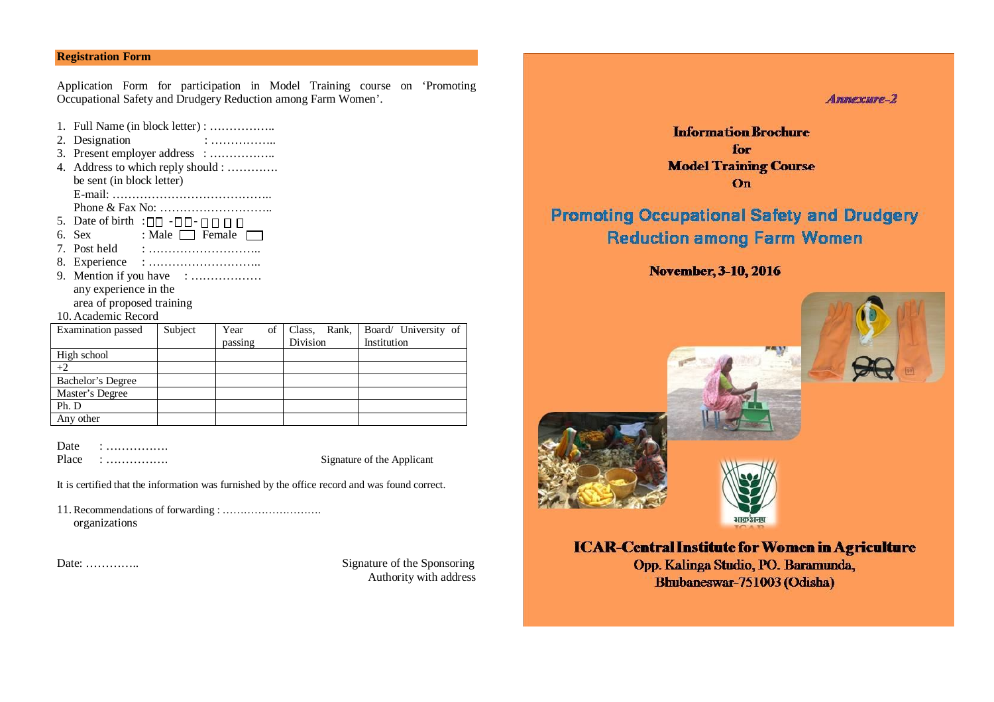# **Registration Form**

Application Form for participation in Model Training course on 'Promoting Occupational Safety and Drudgery Reduction among Farm Women'.

- 1. Full Name (in block letter) : ……………..
- 2. Designation : ……………….
- 3. Present employer address : ……………..
- 4. Address to which reply should : …………. be sent (in block letter)
- E-mail: ………………………………….. Phone & Fax No: ………………………..
- 5. Date of birth : $\Box$  $\Box$  - $\Box$  $\Box$  - $\Box$  $\Box$   $\Box$
- 6. Sex : Male  $\Box$  Female  $\Box$
- 7. Post held : ………………………..
- 8. Experience : ………………………..
- 9. Mention if you have : ………………… any experience in the area of proposed training

10. Academic Record

| Examination passed | Subject | Year    | $of \mid$<br>Rank,<br>Class, | Board/ University of |
|--------------------|---------|---------|------------------------------|----------------------|
|                    |         | passing | Division                     | Institution          |
| High school        |         |         |                              |                      |
| $+2$               |         |         |                              |                      |
| Bachelor's Degree  |         |         |                              |                      |
| Master's Degree    |         |         |                              |                      |
| Ph. D              |         |         |                              |                      |
| Any other          |         |         |                              |                      |

Date : ………………

Place : ……………. Signature of the Applicant

It is certified that the information was furnished by the office record and was found correct.

11. Recommendations of forwarding : ………………………. organizations

Date: ………….. Signature of the Sponsoring Authority with address  $A$ mmexwre $-2$ 

**Information Brochure** for **Model Training Course**  $On$ 

# **Promoting Occupational Safety and Drudgery Reduction among Farm Women**

# November, 3-10, 2016







**ICAR-Central Institute for Women in Agriculture** 

Opp. Kalinga Studio, PO. Baramunda, Bhubaneswar-751003 (Odisha)